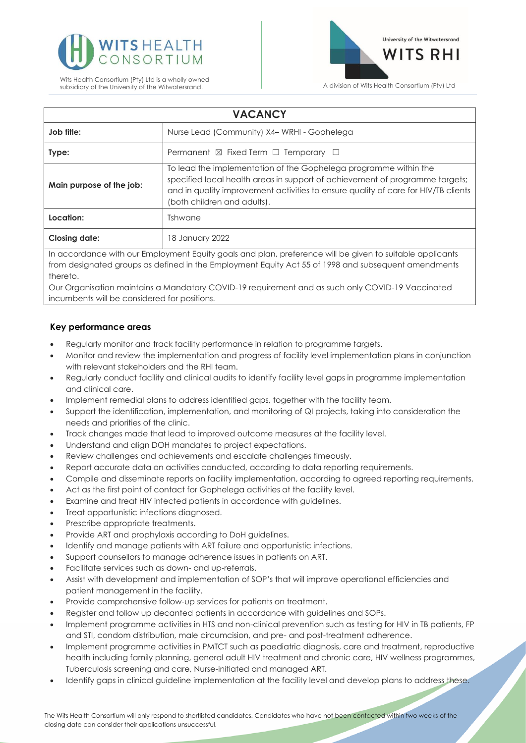



| <b>VACANCY</b>                                                                                           |                                                                                                                                                                                                                                                                       |
|----------------------------------------------------------------------------------------------------------|-----------------------------------------------------------------------------------------------------------------------------------------------------------------------------------------------------------------------------------------------------------------------|
| Job title:                                                                                               | Nurse Lead (Community) X4– WRHI - Gophelega                                                                                                                                                                                                                           |
| Type:                                                                                                    | Permanent $\boxtimes$ Fixed Term $\Box$ Temporary $\Box$                                                                                                                                                                                                              |
| Main purpose of the job:                                                                                 | To lead the implementation of the Gophelega programme within the<br>specified local health areas in support of achievement of programme targets;<br>and in quality improvement activities to ensure quality of care for HIV/TB clients<br>(both children and adults). |
| Location:                                                                                                | Tshwane                                                                                                                                                                                                                                                               |
| <b>Closing date:</b>                                                                                     | 18 January 2022                                                                                                                                                                                                                                                       |
| In accordance with our Employment Equity goals and plan, preference will be given to suitable applicants |                                                                                                                                                                                                                                                                       |

from designated groups as defined in the Employment Equity Act 55 of 1998 and subsequent amendments thereto.

Our Organisation maintains a Mandatory COVID-19 requirement and as such only COVID-19 Vaccinated incumbents will be considered for positions.

## **Key performance areas**

- Regularly monitor and track facility performance in relation to programme targets.
- Monitor and review the implementation and progress of facility level implementation plans in conjunction with relevant stakeholders and the RHI team.
- Regularly conduct facility and clinical audits to identify facility level gaps in programme implementation and clinical care.
- Implement remedial plans to address identified gaps, together with the facility team.
- Support the identification, implementation, and monitoring of QI projects, taking into consideration the needs and priorities of the clinic.
- Track changes made that lead to improved outcome measures at the facility level.
- Understand and align DOH mandates to project expectations.
- Review challenges and achievements and escalate challenges timeously.
- Report accurate data on activities conducted, according to data reporting requirements.
- Compile and disseminate reports on facility implementation, according to agreed reporting requirements.
- Act as the first point of contact for Gophelega activities at the facility level.
- Examine and treat HIV infected patients in accordance with guidelines.
- Treat opportunistic infections diagnosed.
- Prescribe appropriate treatments.
- Provide ART and prophylaxis according to DoH guidelines.
- Identify and manage patients with ART failure and opportunistic infections.
- Support counsellors to manage adherence issues in patients on ART.
- Facilitate services such as down- and up-referrals.
- Assist with development and implementation of SOP's that will improve operational efficiencies and patient management in the facility.
- Provide comprehensive follow-up services for patients on treatment.
- Register and follow up decanted patients in accordance with guidelines and SOPs.
- Implement programme activities in HTS and non-clinical prevention such as testing for HIV in TB patients, FP and STI, condom distribution, male circumcision, and pre- and post-treatment adherence.
- Implement programme activities in PMTCT such as paediatric diagnosis, care and treatment, reproductive health including family planning, general adult HIV treatment and chronic care, HIV wellness programmes, Tuberculosis screening and care, Nurse-initiated and managed ART.
- Identify gaps in clinical guideline implementation at the facility level and develop plans to address these.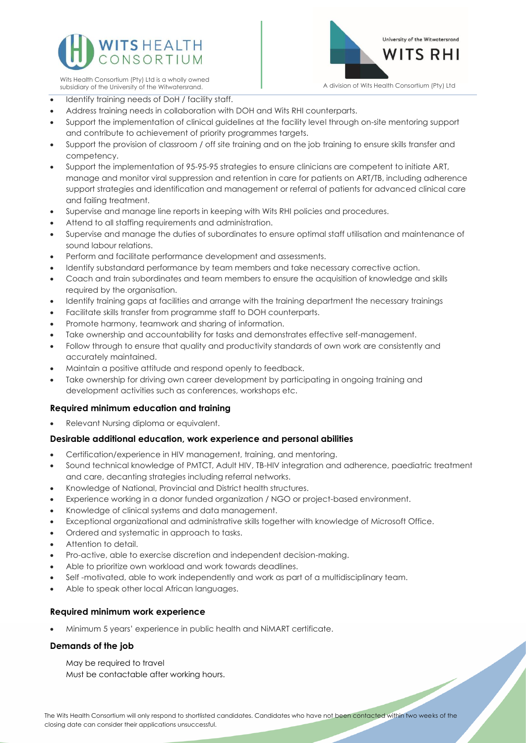

Wits Health Consortium (Pty) Ltd is a wholly owned



- Identify training needs of DoH / facility staff.
- Address training needs in collaboration with DOH and Wits RHI counterparts.
- Support the implementation of clinical guidelines at the facility level through on-site mentoring support and contribute to achievement of priority programmes targets.
- Support the provision of classroom / off site training and on the job training to ensure skills transfer and competency.
- Support the implementation of 95-95-95 strategies to ensure clinicians are competent to initiate ART, manage and monitor viral suppression and retention in care for patients on ART/TB, including adherence support strategies and identification and management or referral of patients for advanced clinical care and failing treatment.
- Supervise and manage line reports in keeping with Wits RHI policies and procedures.
- Attend to all staffing requirements and administration.
- Supervise and manage the duties of subordinates to ensure optimal staff utilisation and maintenance of sound labour relations.
- Perform and facilitate performance development and assessments.
- Identify substandard performance by team members and take necessary corrective action.
- Coach and train subordinates and team members to ensure the acquisition of knowledge and skills required by the organisation.
- Identify training gaps at facilities and arrange with the training department the necessary trainings
- Facilitate skills transfer from programme staff to DOH counterparts.
- Promote harmony, teamwork and sharing of information.
- Take ownership and accountability for tasks and demonstrates effective self-management.
- Follow through to ensure that quality and productivity standards of own work are consistently and accurately maintained.
- Maintain a positive attitude and respond openly to feedback.
- Take ownership for driving own career development by participating in ongoing training and development activities such as conferences, workshops etc.

# **Required minimum education and training**

• Relevant Nursing diploma or equivalent.

### **Desirable additional education, work experience and personal abilities**

- Certification/experience in HIV management, training, and mentoring.
- Sound technical knowledge of PMTCT, Adult HIV, TB-HIV integration and adherence, paediatric treatment and care, decanting strategies including referral networks.
- Knowledge of National, Provincial and District health structures.
- Experience working in a donor funded organization / NGO or project-based environment.
- Knowledge of clinical systems and data management.
- Exceptional organizational and administrative skills together with knowledge of Microsoft Office.
- Ordered and systematic in approach to tasks.
- Attention to detail.
- Pro-active, able to exercise discretion and independent decision-making.
- Able to prioritize own workload and work towards deadlines.
- Self -motivated, able to work independently and work as part of a multidisciplinary team.
- Able to speak other local African languages.

#### **Required minimum work experience**

• Minimum 5 years' experience in public health and NiMART certificate.

#### **Demands of the job**

May be required to travel Must be contactable after working hours.